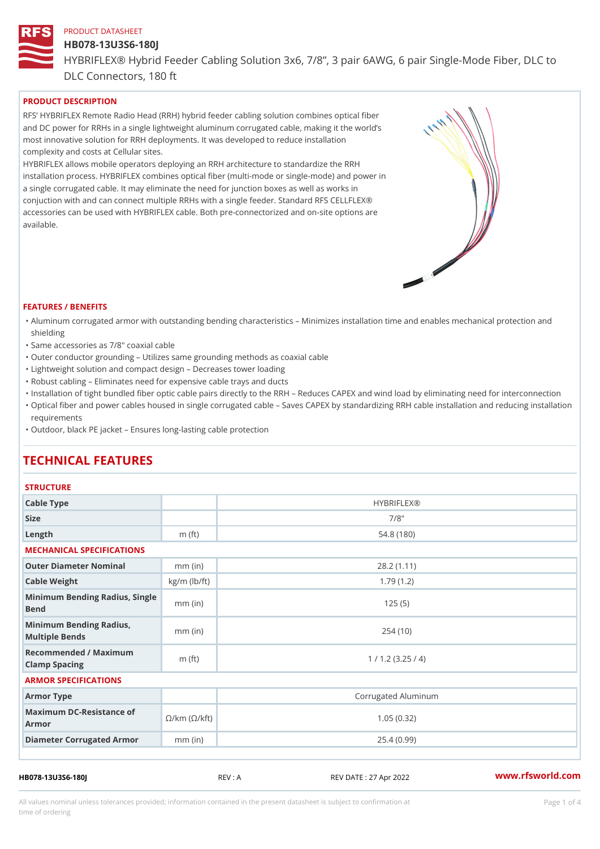# HB078-13U3S6-180J

HYBRIFLEX® Hybrid Feeder Cabling Solution 3x6, 7/8, 3 pair 6AWG, 6 DLC Connectors, 180 ft

PRODUCT DESCRIPTION

RFS HYBRIFLEX Remote Radio Head (RRH) hybrid feeder cabling solution combines optical fibe and DC power for RRHs in a single lightweight aluminum corrugated cable, making it the world s most innovative solution for RRH deployments. It was developed to reduce installation complexity and costs at Cellular sites.

HYBRIFLEX allows mobile operators deploying an RRH architecture to standardize the RRH installation process. HYBRIFLEX combines optical fiber (multi-mode or single-mode) and power in a single corrugated cable. It may eliminate the need for junction boxes as well as works in conjuction with and can connect multiple RRHs with a single feeder. Standard RFS CELLFLEX® accessories can be used with HYBRIFLEX cable. Both pre-connectorized and on-site options are available.

#### FEATURES / BENEFITS

- "Aluminum corrugated armor with outstanding bending characteristics Minimizes installation time a shielding
- "Same accessories as 7/8" coaxial cable
- "Outer conductor grounding Utilizes same grounding methods as coaxial cable
- "Lightweight solution and compact design Decreases tower loading
- "Robust cabling Eliminates need for expensive cable trays and ducts
- "Installation of tight bundled fiber optic cable pairs directly to the RRH and belogies CAPEX and wind  $\theta$
- "Optical fiber and power cables housed in single corrugated cable  $\,$  Saves CAPEX by standardiz $\,$ ng  $\,$ requirements
- "Outdoor, black PE jacket Ensures long-lasting cable protection

# TECHNICAL FEATURES

# **STRUCTURE**

| Cable Type                                                             |                    | <b>HYBRIFLEX®</b>   |  |  |  |
|------------------------------------------------------------------------|--------------------|---------------------|--|--|--|
| Size                                                                   |                    | $7/8$ "             |  |  |  |
| Length                                                                 | m $(ft)$           | 54.8 (180)          |  |  |  |
| MECHANICAL SPECIFICATIONS                                              |                    |                     |  |  |  |
| Outer Diameter Nominal                                                 | $mm$ (in)          | 28.2(1.11)          |  |  |  |
| Cable Weight                                                           | $kg/m$ ( $lb/ft$ ) | 1.79(1.2)           |  |  |  |
| Minimum Bending Radius, Single<br>Bend                                 |                    | 125(5)              |  |  |  |
| Minimum Bending Radius,<br>Multiple Bends                              | $mm$ (in)          | 254(10)             |  |  |  |
| Recommended / Maximum<br>Clamp Spacing                                 | m $(ft)$           | 1 / 1.2 (3.25 / 4)  |  |  |  |
| ARMOR SPECIFICATIONS                                                   |                    |                     |  |  |  |
| Armor Type                                                             |                    | Corrugated Aluminum |  |  |  |
| Maximum DC-Resistance $\mathcal{S}/k$ m ( $\mathcal{O}/k$ ft)<br>Armor |                    | 1.05(0.32)          |  |  |  |
| Diameter Corrugated Armomm (in)                                        |                    | 25.4(0.99)          |  |  |  |
|                                                                        |                    |                     |  |  |  |

HB078-13U3S6-180J REV : A REV DATE : 27 Apr 2022 [www.](https://www.rfsworld.com)rfsworld.com

All values nominal unless tolerances provided; information contained in the present datasheet is subject to Pcapgeligim attio time of ordering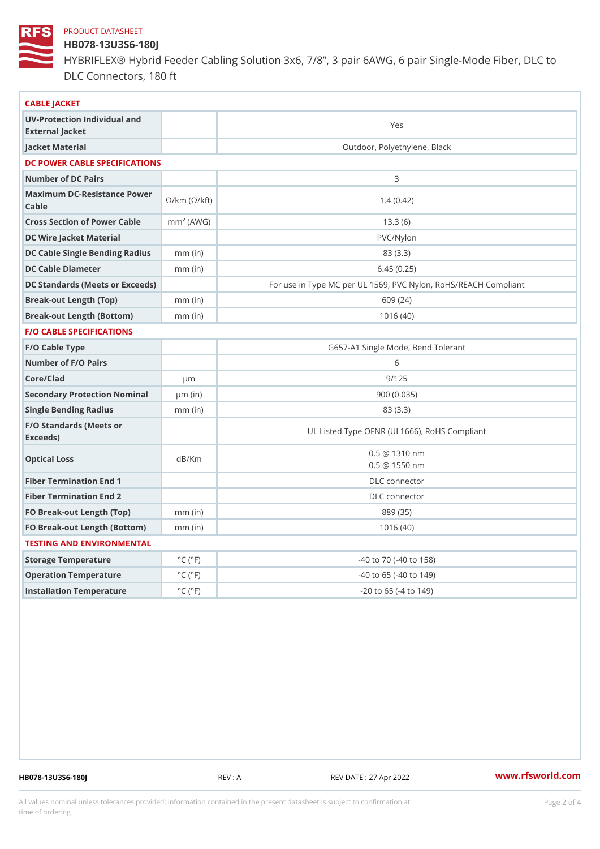# HB078-13U3S6-180J

HYBRIFLEX® Hybrid Feeder Cabling Solution 3x6, 7/8, 3 pair 6AWG, 6 DLC Connectors, 180 ft

| CABLE JACKET                                                                                                                    |                             |                                                      |
|---------------------------------------------------------------------------------------------------------------------------------|-----------------------------|------------------------------------------------------|
| UV-Protection Individual and<br>External Jacket                                                                                 |                             | Yes                                                  |
| Jacket Material                                                                                                                 |                             | Outdoor, Polyethylene, Black                         |
| DC POWER CABLE SPECIFICATIONS                                                                                                   |                             |                                                      |
| Number of DC Pairs                                                                                                              |                             | 3                                                    |
| Maximum DC-Resistance $\bigotimes_{k=m}^{\infty}$ ( $\bigotimes_{k=m}^{\infty}$ /km ( $\bigotimes_{k=m}^{\infty}$ )<br>$C$ able |                             | 1.4(0.42)                                            |
| Cross Section of Power Cnamble (AWG)                                                                                            |                             | 13.3(6)                                              |
| DC Wire Jacket Material                                                                                                         |                             | $PVC/Ny$ lon                                         |
| DC Cable Single Bending Rhandi(uish)                                                                                            |                             | 83 (3.3)                                             |
| DC Cable Diameter                                                                                                               | $mm$ (in)                   | 6.45(0.25)                                           |
| DC Standards (Meets or Exceeds)                                                                                                 |                             | For use in Type MC per UL 1569, PVC Nylon, RoHS/REAC |
| Break-out Length (Top)                                                                                                          | $mm$ (in)                   | 609 (24)                                             |
| Break-out Length (Bottcm)mm (in)                                                                                                |                             | 1016(40)                                             |
| F/O CABLE SPECIFICATIONS                                                                                                        |                             |                                                      |
| F/O Cable Type                                                                                                                  |                             | G657-A1 Single Mode, Bend Tolerant                   |
| Number of F/O Pairs                                                                                                             |                             | 6                                                    |
| Core/Clad                                                                                                                       | $\mu$ m                     | 9/125                                                |
| Secondary Protection Nominal(in)                                                                                                |                             | 900(0.035)                                           |
| Single Bending Radius                                                                                                           | $mm$ (in)                   | 83 (3.3)                                             |
| F/O Standards (Meets or<br>Exceeds)                                                                                             |                             | UL Listed Type OFNR (UL1666), RoHS Compliant         |
| Optical Loss                                                                                                                    | dB/Km                       | $0.5 \t@ 1310 nm$<br>$0.5 \ @ \ 1550 \ nm$           |
| Fiber Termination End                                                                                                           |                             | DLC connector                                        |
| Fiber Termination End 2                                                                                                         |                             | DLC connector                                        |
| FO Break-out Length (Top)mm (in)                                                                                                |                             | 889 (35)                                             |
| FO Break-out Length (Bottomm) (in)                                                                                              |                             | 1016(40)                                             |
| TESTING AND ENVIRONMENTAL                                                                                                       |                             |                                                      |
| Storage Temperature                                                                                                             | $^{\circ}$ C ( $^{\circ}$ F | -40 to 70 (-40 to 158)                               |
| Operation Temperature                                                                                                           | $^{\circ}$ C ( $^{\circ}$ F | $-40$ to 65 ( $-40$ to 149)                          |
| Installation Temperature                                                                                                        | $^{\circ}$ C ( $^{\circ}$ F | $-20$ to $65$ ( $-4$ to $149$ )                      |
|                                                                                                                                 |                             |                                                      |

HB078-13U3S6-180J REV : A REV DATE : 27 Apr 2022 [www.](https://www.rfsworld.com)rfsworld.com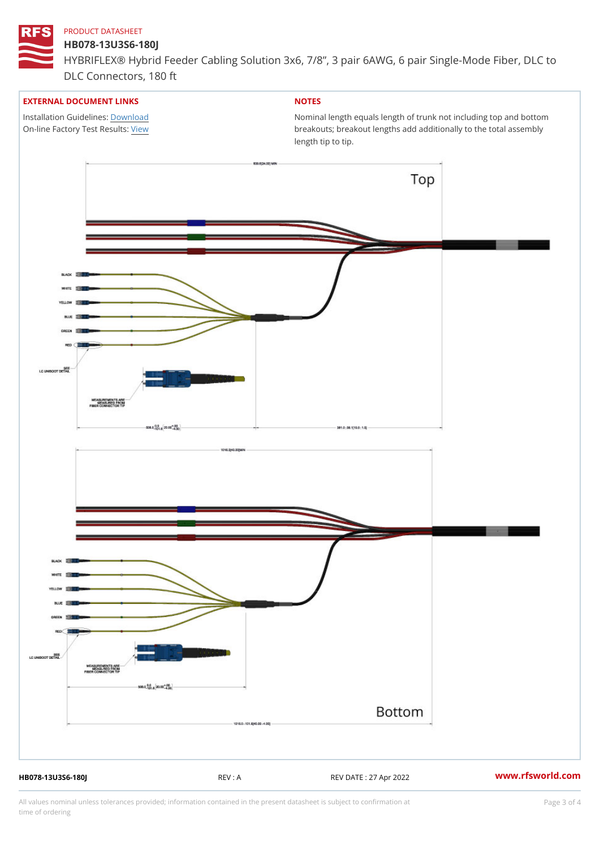#### HB078-13U3S6-180J

HYBRIFLEX® Hybrid Feeder Cabling Solution 3x6, 7/8, 3 pair 6AWG, 6 DLC Connectors, 180 ft

## EXTERNAL DOCUMENT LINKS

Installation Guidelwinessad On-line Factory Te[s](https://www.rfsworld.com/pictures/userfiles/programs/AAST Latest Version.zip)/teRvesults:

# NOTES

Nominal length equals length of trunk not including t breakouts; breakout lengths add additionally to the t length tip to tip.

HB078-13U3S6-180J REV : A REV DATE : 27 Apr 2022 [www.](https://www.rfsworld.com)rfsworld.com

All values nominal unless tolerances provided; information contained in the present datasheet is subject to Pcapgeling that i time of ordering